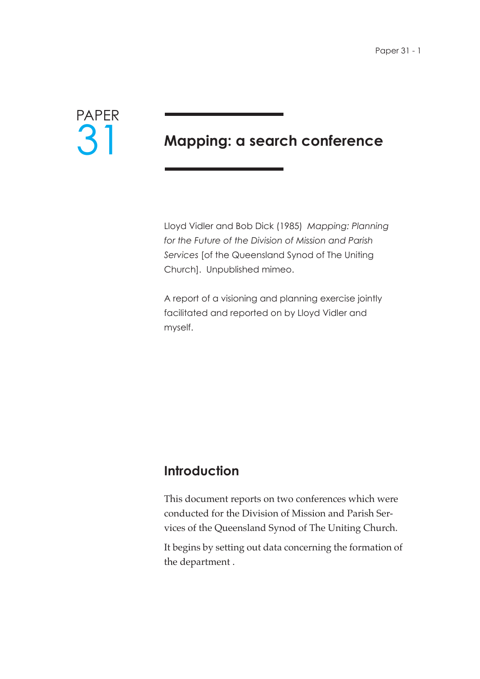

# **Mapping: a search conference**

Lloyd Vidler and Bob Dick (1985) *Mapping: Planning for the Future of the Division of Mission and Parish Services* [of the Queensland Synod of The Uniting Church]. Unpublished mimeo.

A report of a visioning and planning exercise jointly facilitated and reported on by Lloyd Vidler and myself.

# **Introduction**

This document reports on two conferences which were conducted for the Division of Mission and Parish Services of the Queensland Synod of The Uniting Church.

It begins by setting out data concerning the formation of the department .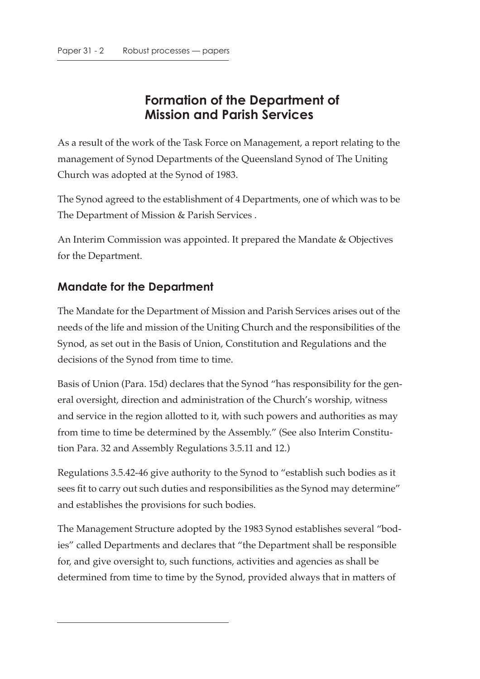# **Formation of the Department of Mission and Parish Services**

As a result of the work of the Task Force on Management, a report relating to the management of Synod Departments of the Queensland Synod of The Uniting Church was adopted at the Synod of 1983.

The Synod agreed to the establishment of 4 Departments, one of which was to be The Department of Mission & Parish Services .

An Interim Commission was appointed. It prepared the Mandate & Objectives for the Department.

### **Mandate for the Department**

The Mandate for the Department of Mission and Parish Services arises out of the needs of the life and mission of the Uniting Church and the responsibilities of the Synod, as set out in the Basis of Union, Constitution and Regulations and the decisions of the Synod from time to time.

Basis of Union (Para. 15d) declares that the Synod "has responsibility for the general oversight, direction and administration of the Church's worship, witness and service in the region allotted to it, with such powers and authorities as may from time to time be determined by the Assembly." (See also Interim Constitution Para. 32 and Assembly Regulations 3.5.11 and 12.)

Regulations 3.5.42-46 give authority to the Synod to "establish such bodies as it sees fit to carry out such duties and responsibilities as the Synod may determine" and establishes the provisions for such bodies.

The Management Structure adopted by the 1983 Synod establishes several "bodies" called Departments and declares that "the Department shall be responsible for, and give oversight to, such functions, activities and agencies as shall be determined from time to time by the Synod, provided always that in matters of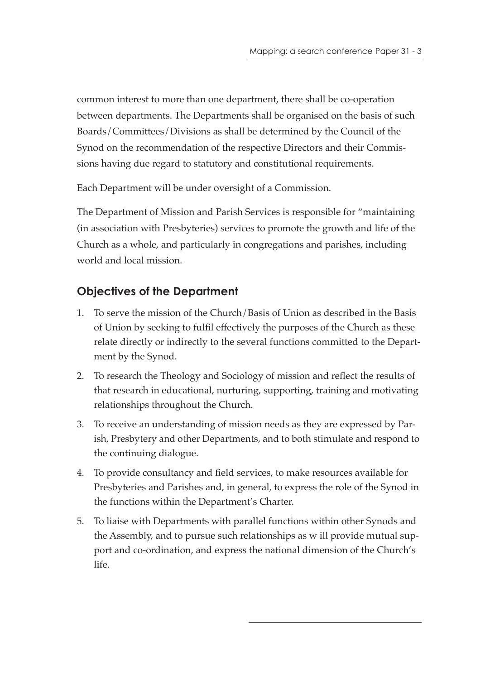common interest to more than one department, there shall be co-operation between departments. The Departments shall be organised on the basis of such Boards/Committees/Divisions as shall be determined by the Council of the Synod on the recommendation of the respective Directors and their Commissions having due regard to statutory and constitutional requirements.

Each Department will be under oversight of a Commission.

The Department of Mission and Parish Services is responsible for "maintaining (in association with Presbyteries) services to promote the growth and life of the Church as a whole, and particularly in congregations and parishes, including world and local mission.

## **Objectives of the Department**

- 1. To serve the mission of the Church/Basis of Union as described in the Basis of Union by seeking to fulfil effectively the purposes of the Church as these relate directly or indirectly to the several functions committed to the Department by the Synod.
- 2. To research the Theology and Sociology of mission and reflect the results of that research in educational, nurturing, supporting, training and motivating relationships throughout the Church.
- 3. To receive an understanding of mission needs as they are expressed by Parish, Presbytery and other Departments, and to both stimulate and respond to the continuing dialogue.
- 4. To provide consultancy and field services, to make resources available for Presbyteries and Parishes and, in general, to express the role of the Synod in the functions within the Department's Charter.
- 5. To liaise with Departments with parallel functions within other Synods and the Assembly, and to pursue such relationships as w ill provide mutual support and co-ordination, and express the national dimension of the Church's life.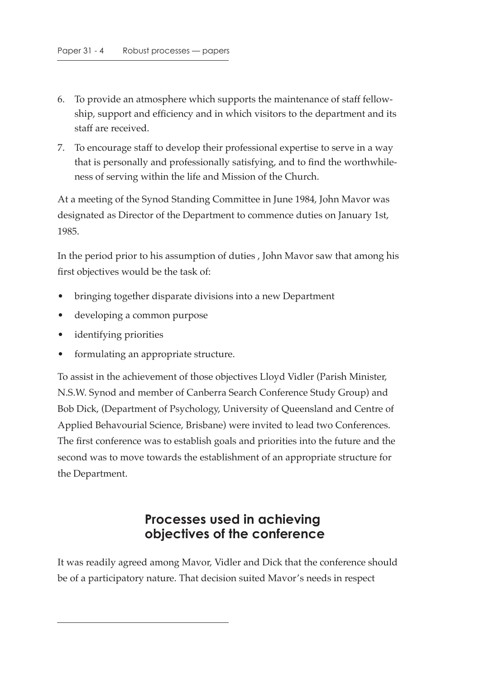- 6. To provide an atmosphere which supports the maintenance of staff fellowship, support and efficiency and in which visitors to the department and its staff are received.
- 7. To encourage staff to develop their professional expertise to serve in a way that is personally and professionally satisfying, and to find the worthwhileness of serving within the life and Mission of the Church.

At a meeting of the Synod Standing Committee in June 1984, John Mavor was designated as Director of the Department to commence duties on January 1st, 1985.

In the period prior to his assumption of duties , John Mavor saw that among his first objectives would be the task of:

- bringing together disparate divisions into a new Department
- developing a common purpose
- identifying priorities
- formulating an appropriate structure.

To assist in the achievement of those objectives Lloyd Vidler (Parish Minister, N.S.W. Synod and member of Canberra Search Conference Study Group) and Bob Dick, (Department of Psychology, University of Queensland and Centre of Applied Behavourial Science, Brisbane) were invited to lead two Conferences. The first conference was to establish goals and priorities into the future and the second was to move towards the establishment of an appropriate structure for the Department.

## **Processes used in achieving objectives of the conference**

It was readily agreed among Mavor, Vidler and Dick that the conference should be of a participatory nature. That decision suited Mavor's needs in respect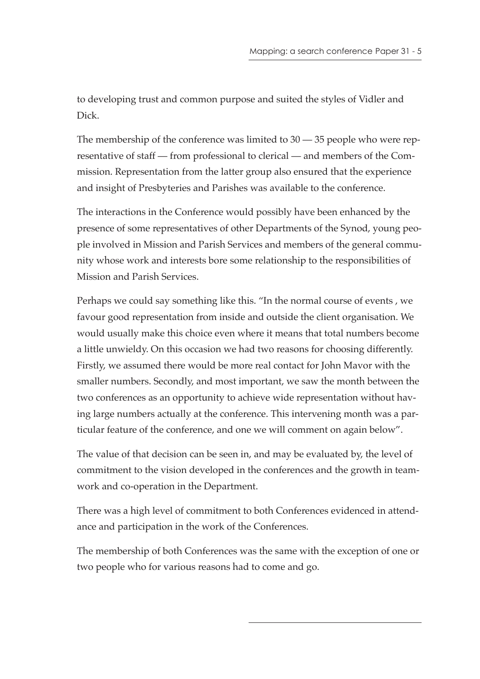to developing trust and common purpose and suited the styles of Vidler and Dick.

The membership of the conference was limited to 30 — 35 people who were representative of staff — from professional to clerical — and members of the Commission. Representation from the latter group also ensured that the experience and insight of Presbyteries and Parishes was available to the conference.

The interactions in the Conference would possibly have been enhanced by the presence of some representatives of other Departments of the Synod, young people involved in Mission and Parish Services and members of the general community whose work and interests bore some relationship to the responsibilities of Mission and Parish Services.

Perhaps we could say something like this. "In the normal course of events , we favour good representation from inside and outside the client organisation. We would usually make this choice even where it means that total numbers become a little unwieldy. On this occasion we had two reasons for choosing differently. Firstly, we assumed there would be more real contact for John Mavor with the smaller numbers. Secondly, and most important, we saw the month between the two conferences as an opportunity to achieve wide representation without having large numbers actually at the conference. This intervening month was a particular feature of the conference, and one we will comment on again below".

The value of that decision can be seen in, and may be evaluated by, the level of commitment to the vision developed in the conferences and the growth in teamwork and co-operation in the Department.

There was a high level of commitment to both Conferences evidenced in attendance and participation in the work of the Conferences.

The membership of both Conferences was the same with the exception of one or two people who for various reasons had to come and go.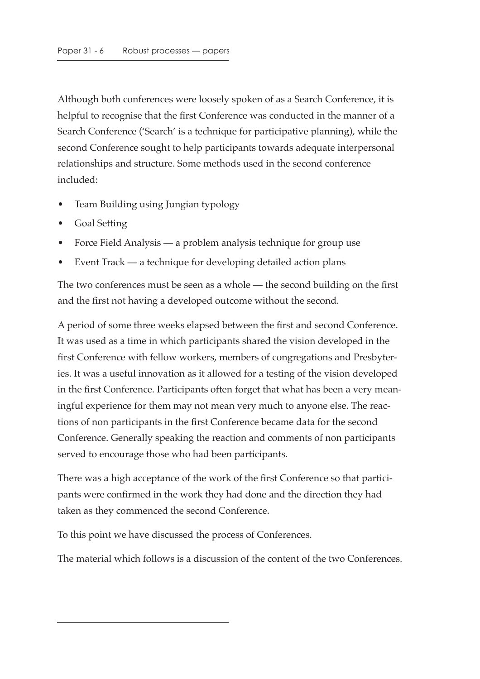Although both conferences were loosely spoken of as a Search Conference, it is helpful to recognise that the first Conference was conducted in the manner of a Search Conference ('Search' is a technique for participative planning), while the second Conference sought to help participants towards adequate interpersonal relationships and structure. Some methods used in the second conference included:

- Team Building using Jungian typology
- Goal Setting
- Force Field Analysis a problem analysis technique for group use
- Event Track a technique for developing detailed action plans

The two conferences must be seen as a whole — the second building on the first and the first not having a developed outcome without the second.

A period of some three weeks elapsed between the first and second Conference. It was used as a time in which participants shared the vision developed in the first Conference with fellow workers, members of congregations and Presbyteries. It was a useful innovation as it allowed for a testing of the vision developed in the first Conference. Participants often forget that what has been a very meaningful experience for them may not mean very much to anyone else. The reactions of non participants in the first Conference became data for the second Conference. Generally speaking the reaction and comments of non participants served to encourage those who had been participants.

There was a high acceptance of the work of the first Conference so that participants were confirmed in the work they had done and the direction they had taken as they commenced the second Conference.

To this point we have discussed the process of Conferences.

The material which follows is a discussion of the content of the two Conferences.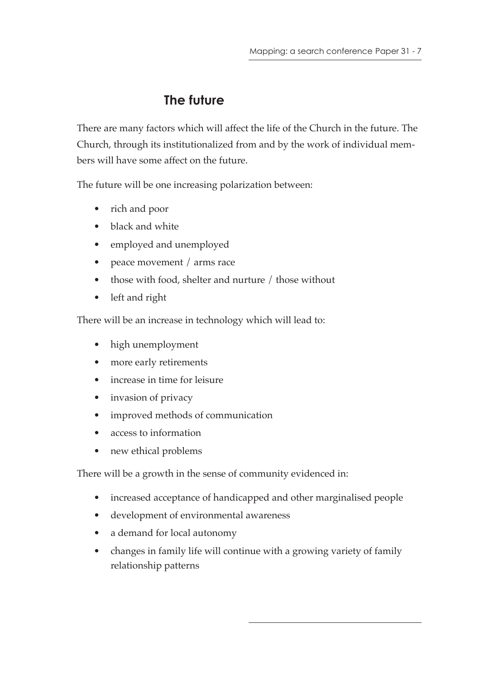# **The future**

There are many factors which will affect the life of the Church in the future. The Church, through its institutionalized from and by the work of individual members will have some affect on the future.

The future will be one increasing polarization between:

- rich and poor
- black and white
- employed and unemployed
- peace movement / arms race
- those with food, shelter and nurture / those without
- left and right

There will be an increase in technology which will lead to:

- high unemployment
- more early retirements
- increase in time for leisure
- invasion of privacy
- improved methods of communication
- access to information
- new ethical problems

There will be a growth in the sense of community evidenced in:

- increased acceptance of handicapped and other marginalised people
- development of environmental awareness
- a demand for local autonomy
- changes in family life will continue with a growing variety of family relationship patterns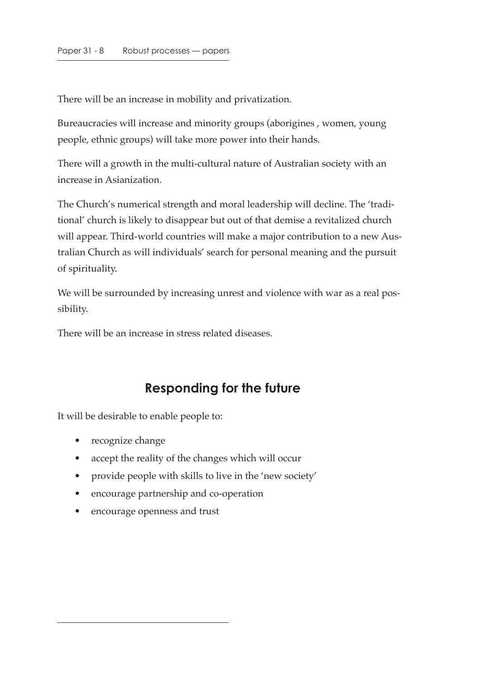There will be an increase in mobility and privatization.

Bureaucracies will increase and minority groups (aborigines , women, young people, ethnic groups) will take more power into their hands.

There will a growth in the multi-cultural nature of Australian society with an increase in Asianization.

The Church's numerical strength and moral leadership will decline. The 'traditional' church is likely to disappear but out of that demise a revitalized church will appear. Third-world countries will make a major contribution to a new Australian Church as will individuals' search for personal meaning and the pursuit of spirituality.

We will be surrounded by increasing unrest and violence with war as a real possibility.

There will be an increase in stress related diseases.

# **Responding for the future**

It will be desirable to enable people to:

- recognize change
- accept the reality of the changes which will occur
- provide people with skills to live in the 'new society'
- encourage partnership and co-operation
- encourage openness and trust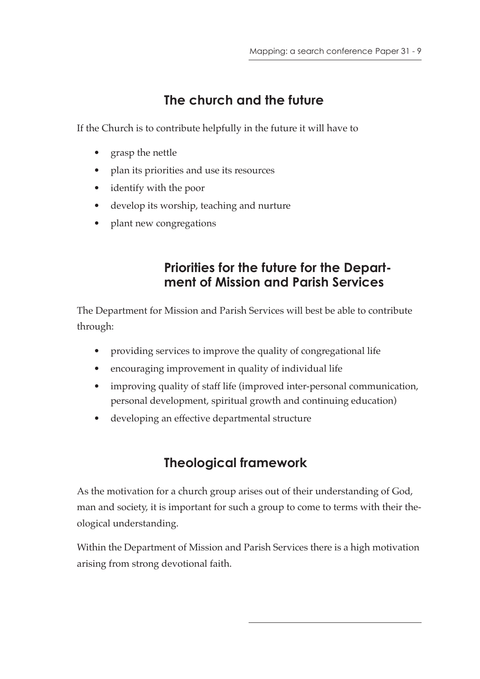# **The church and the future**

If the Church is to contribute helpfully in the future it will have to

- grasp the nettle
- plan its priorities and use its resources
- identify with the poor
- develop its worship, teaching and nurture
- plant new congregations

# **Priorities for the future for the Department of Mission and Parish Services**

The Department for Mission and Parish Services will best be able to contribute through:

- providing services to improve the quality of congregational life
- encouraging improvement in quality of individual life
- improving quality of staff life (improved inter-personal communication, personal development, spiritual growth and continuing education)
- developing an effective departmental structure

# **Theological framework**

As the motivation for a church group arises out of their understanding of God, man and society, it is important for such a group to come to terms with their theological understanding.

Within the Department of Mission and Parish Services there is a high motivation arising from strong devotional faith.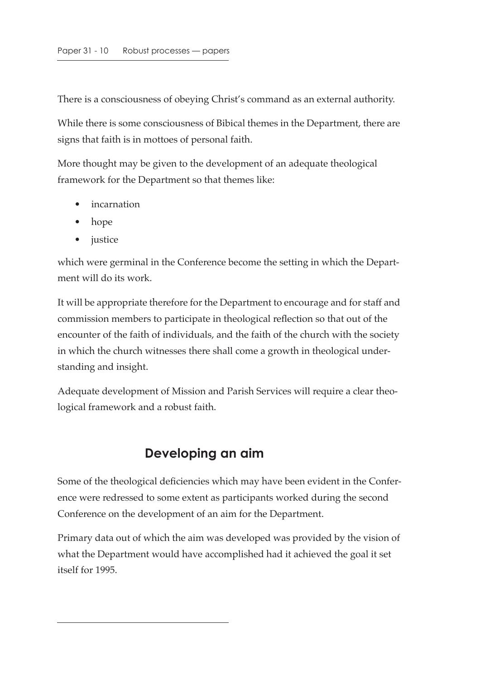There is a consciousness of obeying Christ's command as an external authority.

While there is some consciousness of Bibical themes in the Department, there are signs that faith is in mottoes of personal faith.

More thought may be given to the development of an adequate theological framework for the Department so that themes like:

- incarnation
- hope
- justice

which were germinal in the Conference become the setting in which the Department will do its work.

It will be appropriate therefore for the Department to encourage and for staff and commission members to participate in theological reflection so that out of the encounter of the faith of individuals, and the faith of the church with the society in which the church witnesses there shall come a growth in theological understanding and insight.

Adequate development of Mission and Parish Services will require a clear theological framework and a robust faith.

# **Developing an aim**

Some of the theological deficiencies which may have been evident in the Conference were redressed to some extent as participants worked during the second Conference on the development of an aim for the Department.

Primary data out of which the aim was developed was provided by the vision of what the Department would have accomplished had it achieved the goal it set itself for 1995.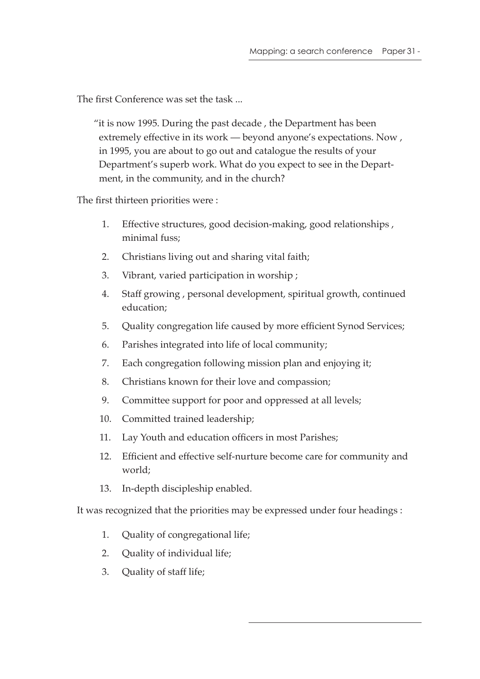The first Conference was set the task ...

"it is now 1995. During the past decade , the Department has been extremely effective in its work — beyond anyone's expectations. Now , in 1995, you are about to go out and catalogue the results of your Department's superb work. What do you expect to see in the Department, in the community, and in the church?

The first thirteen priorities were :

- 1. Effective structures, good decision-making, good relationships , minimal fuss;
- 2. Christians living out and sharing vital faith;
- 3. Vibrant, varied participation in worship ;
- 4. Staff growing , personal development, spiritual growth, continued education;
- 5. Quality congregation life caused by more efficient Synod Services;
- 6. Parishes integrated into life of local community;
- 7. Each congregation following mission plan and enjoying it;
- 8. Christians known for their love and compassion;
- 9. Committee support for poor and oppressed at all levels;
- 10. Committed trained leadership;
- 11. Lay Youth and education officers in most Parishes;
- 12. Efficient and effective self-nurture become care for community and world;
- 13. In-depth discipleship enabled.

It was recognized that the priorities may be expressed under four headings :

- 1. Quality of congregational life;
- 2. Quality of individual life;
- 3. Quality of staff life;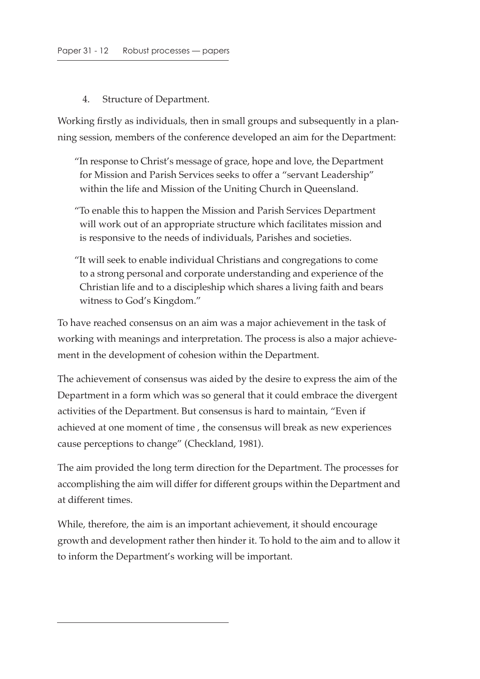#### 4. Structure of Department.

Working firstly as individuals, then in small groups and subsequently in a planning session, members of the conference developed an aim for the Department:

- "In response to Christ's message of grace, hope and love, the Department for Mission and Parish Services seeks to offer a "servant Leadership" within the life and Mission of the Uniting Church in Queensland.
- "To enable this to happen the Mission and Parish Services Department will work out of an appropriate structure which facilitates mission and is responsive to the needs of individuals, Parishes and societies.
- "It will seek to enable individual Christians and congregations to come to a strong personal and corporate understanding and experience of the Christian life and to a discipleship which shares a living faith and bears witness to God's Kingdom."

To have reached consensus on an aim was a major achievement in the task of working with meanings and interpretation. The process is also a major achievement in the development of cohesion within the Department.

The achievement of consensus was aided by the desire to express the aim of the Department in a form which was so general that it could embrace the divergent activities of the Department. But consensus is hard to maintain, "Even if achieved at one moment of time , the consensus will break as new experiences cause perceptions to change" (Checkland, 1981).

The aim provided the long term direction for the Department. The processes for accomplishing the aim will differ for different groups within the Department and at different times.

While, therefore, the aim is an important achievement, it should encourage growth and development rather then hinder it. To hold to the aim and to allow it to inform the Department's working will be important.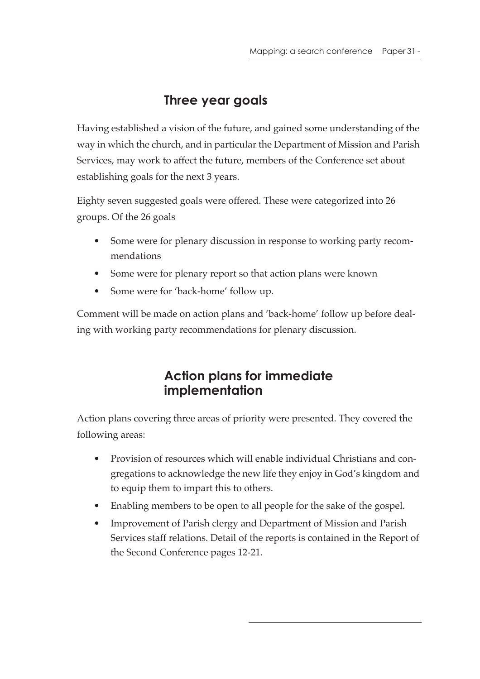# **Three year goals**

Having established a vision of the future, and gained some understanding of the way in which the church, and in particular the Department of Mission and Parish Services, may work to affect the future, members of the Conference set about establishing goals for the next 3 years.

Eighty seven suggested goals were offered. These were categorized into 26 groups. Of the 26 goals

- Some were for plenary discussion in response to working party recommendations
- Some were for plenary report so that action plans were known
- Some were for 'back-home' follow up.

Comment will be made on action plans and 'back-home' follow up before dealing with working party recommendations for plenary discussion.

# **Action plans for immediate implementation**

Action plans covering three areas of priority were presented. They covered the following areas:

- Provision of resources which will enable individual Christians and congregations to acknowledge the new life they enjoy in God's kingdom and to equip them to impart this to others.
- Enabling members to be open to all people for the sake of the gospel.
- Improvement of Parish clergy and Department of Mission and Parish Services staff relations. Detail of the reports is contained in the Report of the Second Conference pages 12-21.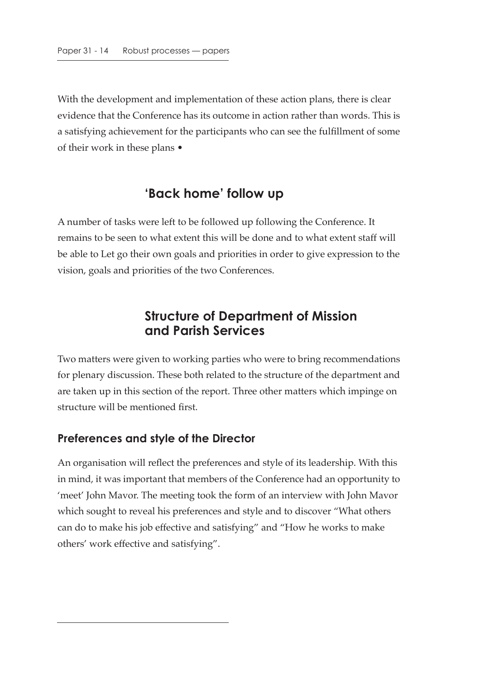With the development and implementation of these action plans, there is clear evidence that the Conference has its outcome in action rather than words. This is a satisfying achievement for the participants who can see the fulfillment of some of their work in these plans •

### **'Back home' follow up**

A number of tasks were left to be followed up following the Conference. It remains to be seen to what extent this will be done and to what extent staff will be able to Let go their own goals and priorities in order to give expression to the vision, goals and priorities of the two Conferences.

## **Structure of Department of Mission and Parish Services**

Two matters were given to working parties who were to bring recommendations for plenary discussion. These both related to the structure of the department and are taken up in this section of the report. Three other matters which impinge on structure will be mentioned first.

#### **Preferences and style of the Director**

An organisation will reflect the preferences and style of its leadership. With this in mind, it was important that members of the Conference had an opportunity to 'meet' John Mavor. The meeting took the form of an interview with John Mavor which sought to reveal his preferences and style and to discover "What others can do to make his job effective and satisfying" and "How he works to make others' work effective and satisfying".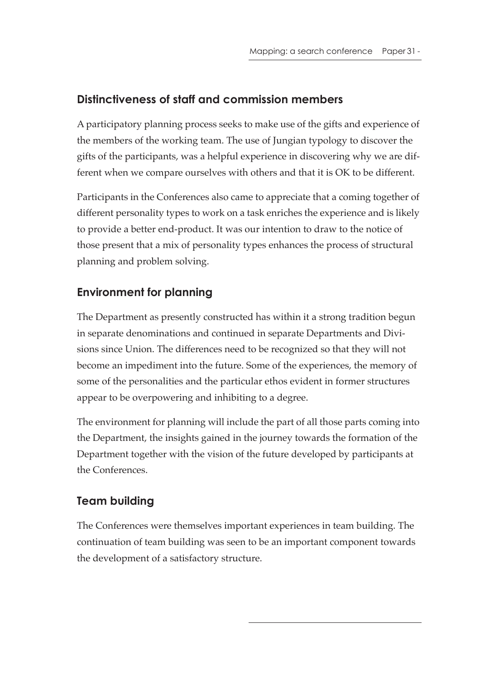### **Distinctiveness of staff and commission members**

A participatory planning process seeks to make use of the gifts and experience of the members of the working team. The use of Jungian typology to discover the gifts of the participants, was a helpful experience in discovering why we are different when we compare ourselves with others and that it is OK to be different.

Participants in the Conferences also came to appreciate that a coming together of different personality types to work on a task enriches the experience and is likely to provide a better end-product. It was our intention to draw to the notice of those present that a mix of personality types enhances the process of structural planning and problem solving.

### **Environment for planning**

The Department as presently constructed has within it a strong tradition begun in separate denominations and continued in separate Departments and Divisions since Union. The differences need to be recognized so that they will not become an impediment into the future. Some of the experiences, the memory of some of the personalities and the particular ethos evident in former structures appear to be overpowering and inhibiting to a degree.

The environment for planning will include the part of all those parts coming into the Department, the insights gained in the journey towards the formation of the Department together with the vision of the future developed by participants at the Conferences.

# **Team building**

The Conferences were themselves important experiences in team building. The continuation of team building was seen to be an important component towards the development of a satisfactory structure.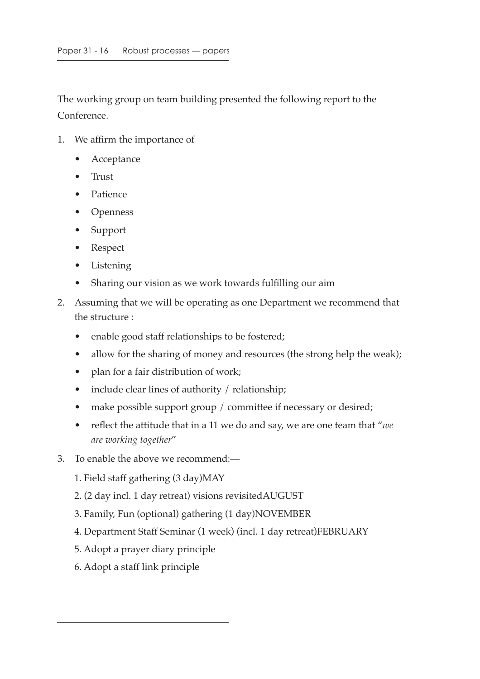The working group on team building presented the following report to the Conference.

- 1. We affirm the importance of
	- Acceptance
	- Trust
	- Patience
	- Openness
	- Support
	- Respect
	- **Listening**
	- Sharing our vision as we work towards fulfilling our aim
- 2. Assuming that we will be operating as one Department we recommend that the structure :
	- enable good staff relationships to be fostered;
	- allow for the sharing of money and resources (the strong help the weak);
	- plan for a fair distribution of work;
	- include clear lines of authority / relationship;
	- make possible support group / committee if necessary or desired;
	- reflect the attitude that in a 11 we do and say, we are one team that "*we are working together*"
- 3. To enable the above we recommend:—
	- 1. Field staff gathering (3 day)MAY
	- 2. (2 day incl. 1 day retreat) visions revisitedAUGUST
	- 3. Family, Fun (optional) gathering (1 day)NOVEMBER
	- 4. Department Staff Seminar (1 week) (incl. 1 day retreat)FEBRUARY
	- 5. Adopt a prayer diary principle
	- 6. Adopt a staff link principle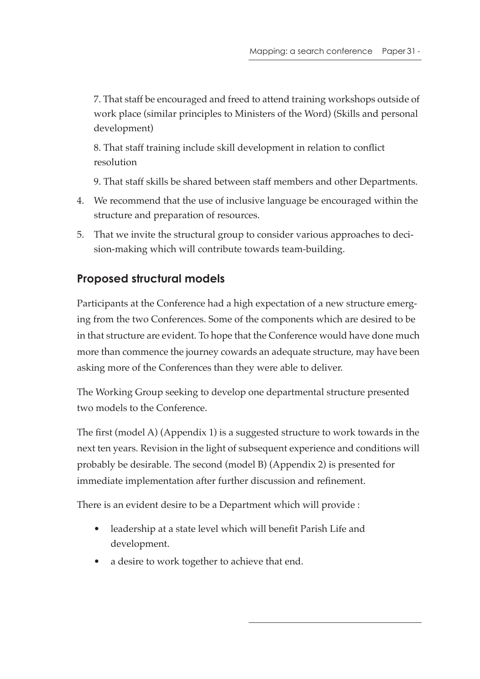7. That staff be encouraged and freed to attend training workshops outside of work place (similar principles to Ministers of the Word) (Skills and personal development)

8. That staff training include skill development in relation to conflict resolution

9. That staff skills be shared between staff members and other Departments.

- 4. We recommend that the use of inclusive language be encouraged within the structure and preparation of resources.
- 5. That we invite the structural group to consider various approaches to decision-making which will contribute towards team-building.

## **Proposed structural models**

Participants at the Conference had a high expectation of a new structure emerging from the two Conferences. Some of the components which are desired to be in that structure are evident. To hope that the Conference would have done much more than commence the journey cowards an adequate structure, may have been asking more of the Conferences than they were able to deliver.

The Working Group seeking to develop one departmental structure presented two models to the Conference.

The first (model A) (Appendix 1) is a suggested structure to work towards in the next ten years. Revision in the light of subsequent experience and conditions will probably be desirable. The second (model B) (Appendix 2) is presented for immediate implementation after further discussion and refinement.

There is an evident desire to be a Department which will provide :

- leadership at a state level which will benefit Parish Life and development.
- a desire to work together to achieve that end.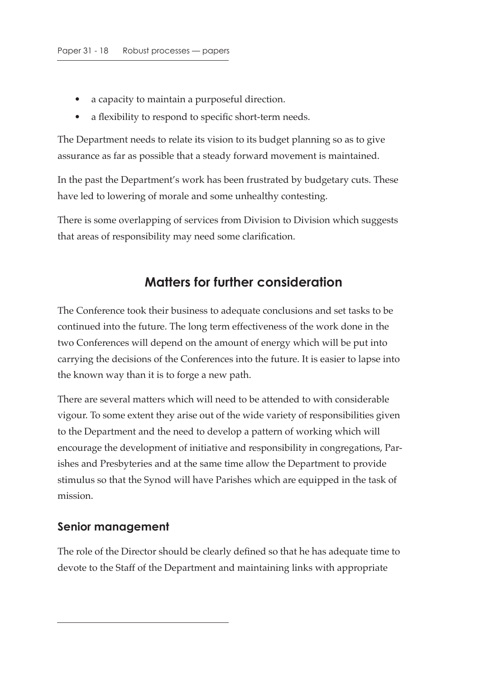- a capacity to maintain a purposeful direction.
- a flexibility to respond to specific short-term needs.

The Department needs to relate its vision to its budget planning so as to give assurance as far as possible that a steady forward movement is maintained.

In the past the Department's work has been frustrated by budgetary cuts. These have led to lowering of morale and some unhealthy contesting.

There is some overlapping of services from Division to Division which suggests that areas of responsibility may need some clarification.

# **Matters for further consideration**

The Conference took their business to adequate conclusions and set tasks to be continued into the future. The long term effectiveness of the work done in the two Conferences will depend on the amount of energy which will be put into carrying the decisions of the Conferences into the future. It is easier to lapse into the known way than it is to forge a new path.

There are several matters which will need to be attended to with considerable vigour. To some extent they arise out of the wide variety of responsibilities given to the Department and the need to develop a pattern of working which will encourage the development of initiative and responsibility in congregations, Parishes and Presbyteries and at the same time allow the Department to provide stimulus so that the Synod will have Parishes which are equipped in the task of mission.

#### **Senior management**

The role of the Director should be clearly defined so that he has adequate time to devote to the Staff of the Department and maintaining links with appropriate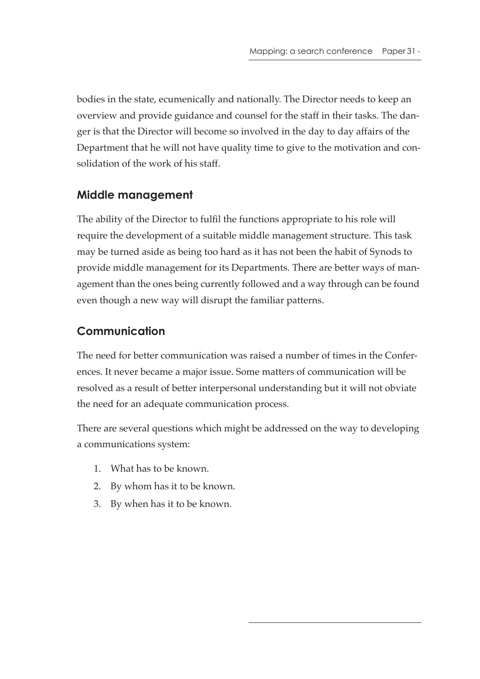bodies in the state, ecumenically and nationally. The Director needs to keep an overview and provide guidance and counsel for the staff in their tasks. The danger is that the Director will become so involved in the day to day affairs of the Department that he will not have quality time to give to the motivation and consolidation of the work of his staff.

### **Middle management**

The ability of the Director to fulfil the functions appropriate to his role will require the development of a suitable middle management structure. This task may be turned aside as being too hard as it has not been the habit of Synods to provide middle management for its Departments. There are better ways of management than the ones being currently followed and a way through can be found even though a new way will disrupt the familiar patterns.

### **Communication**

The need for better communication was raised a number of times in the Conferences. It never became a major issue. Some matters of communication will be resolved as a result of better interpersonal understanding but it will not obviate the need for an adequate communication process.

There are several questions which might be addressed on the way to developing a communications system:

- 1. What has to be known.
- 2. By whom has it to be known.
- 3. By when has it to be known.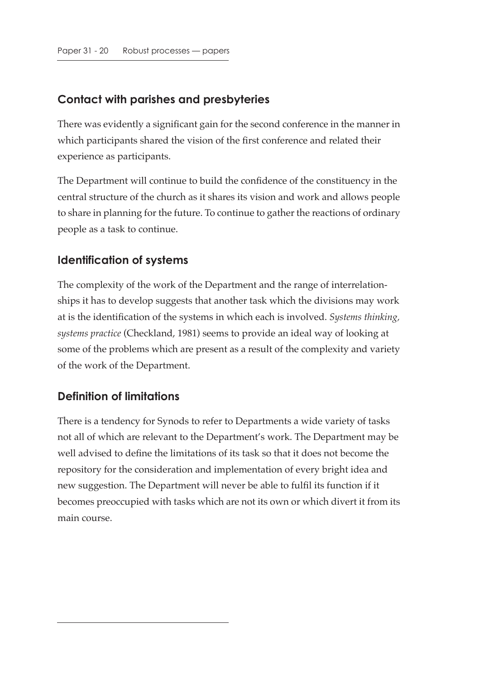### **Contact with parishes and presbyteries**

There was evidently a significant gain for the second conference in the manner in which participants shared the vision of the first conference and related their experience as participants.

The Department will continue to build the confidence of the constituency in the central structure of the church as it shares its vision and work and allows people to share in planning for the future. To continue to gather the reactions of ordinary people as a task to continue.

### **Identification of systems**

The complexity of the work of the Department and the range of interrelationships it has to develop suggests that another task which the divisions may work at is the identification of the systems in which each is involved. *Systems thinking, systems practice* (Checkland, 1981) seems to provide an ideal way of looking at some of the problems which are present as a result of the complexity and variety of the work of the Department.

### **Definition of limitations**

There is a tendency for Synods to refer to Departments a wide variety of tasks not all of which are relevant to the Department's work. The Department may be well advised to define the limitations of its task so that it does not become the repository for the consideration and implementation of every bright idea and new suggestion. The Department will never be able to fulfil its function if it becomes preoccupied with tasks which are not its own or which divert it from its main course.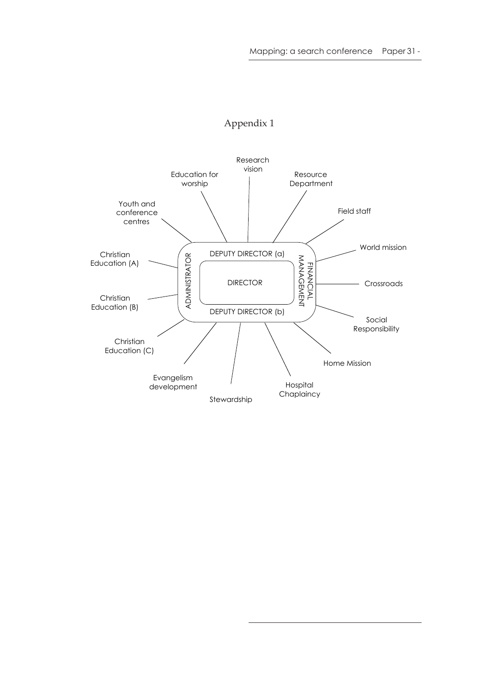

#### Appendix 1